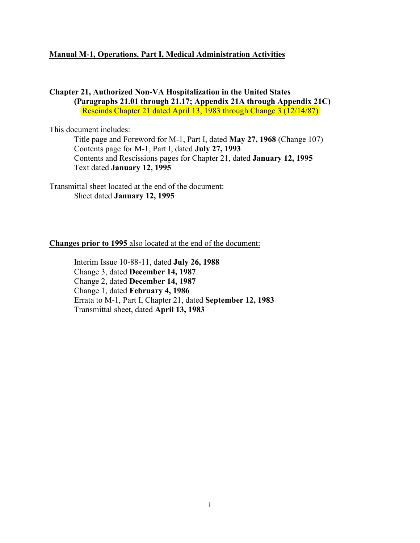#### **Manual M-1, Operations. Part I, Medical Administration Activities**

#### **Chapter 21, Authorized Non-VA Hospitalization in the United States (Paragraphs 21.01 through 21.17; Appendix 21A through Appendix 21C)**  Rescinds Chapter 21 dated April 13, 1983 through Change 3 (12/14/87)

This document includes:

 Title page and Foreword for M-1, Part I, dated **May 27, 1968** (Change 107) Contents page for M-1, Part I, dated **July 27, 1993** Contents and Rescissions pages for Chapter 21, dated **January 12, 1995** Text dated **January 12, 1995**

Transmittal sheet located at the end of the document: Sheet dated **January 12, 1995**

#### **Changes prior to 1995** also located at the end of the document:

 Interim Issue 10-88-11, dated **July 26, 1988** Change 3, dated **December 14, 1987** Change 2, dated **December 14, 1987**  Change 1, dated **February 4, 1986** Errata to M-1, Part I, Chapter 21, dated **September 12, 1983** Transmittal sheet, dated **April 13, 1983**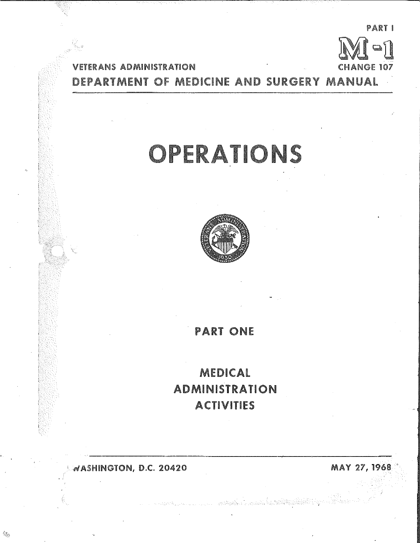**PARTI** afl 107

**VETERANS ADMINISTRATION** DEPARTMENT OF MEDICINE AND SURGERY MANUAL

# OPERATIONS



## **PART ONE**

MEDICAL **ADMINISTRATION ACTIVITIES** 

and the film of a community of the William States

WASHINGTON, D.C. 20420

MAY 27, 1968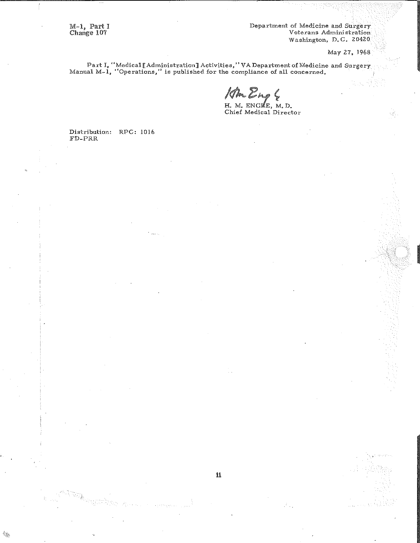M-1, Part I<br>Change 107

Department of Medicine and Surgery<br>Veterans Administration Washington, D.C. 20420

May 27, 1968

Part I, "Medical [Administration] Activities," VA Department of Medicine and Surgery Manual M-1, "Operations," is published for the compliance of all concerned.

Ra Eng &<br>H. M. ENGLE, M. D.<br>Chief Medical Director

Distribution: RPC: 1016  ${\tt FD-PRR}$ 



\$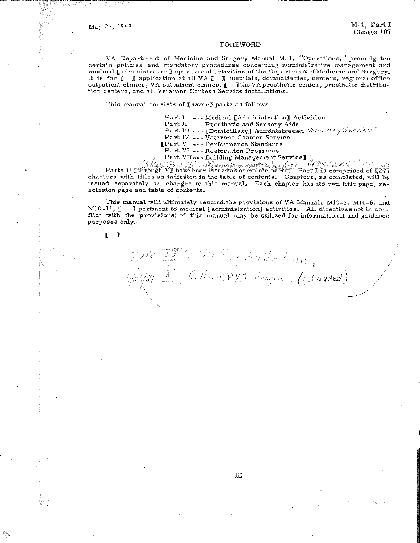#### **FOREWORD**

VA Department of Medicine and Surgery Manual M-1, "Operations," promulgates certain policies and mandatory procedures concerning administrative management and medical [administration] operational activities of the Department of Medicine and Surgery. It is for [ ] application at all VA [ ] hospitals, domiciliaries, centers, regional office outpatient clinics, VA outpatient clinics, [ ] the VA prosthetic center, prosthetic distribution centers, and all Veterans Canteen Service installations.

This manual consists of [seven] parts as follows:

Part I --- Medical [Administration] Activities Part II --- Prosthetic and Sensory Aids

Part III --- [Domiciliary] Administration Volumbery Services.

Part IV --- Veterans Canteen Service

[Part V --- Performance Standards

Parts II [through V] have been issued as complete parts. Part I is comprised of [27] chapters with titles as indicated in the table of contents. Chapters, as completed, will be issued separately as changes to this manual. Each chapter has its own title page, rescission page and table of contents.

This manual will ultimately rescind the provisions of VA Manuals M10-3, M10-6, and  $M10-11, E$ I pertinent to medical [administration] activities. All directives not in conflict with the provisions of this manual may be utilized for informational and guidance purposes only.

188 IX = Steffing Saide Lines

 $\frac{1}{88}$  Vsq  $\overline{1}$  - CHAMPVA Program (not added)

 $\blacksquare$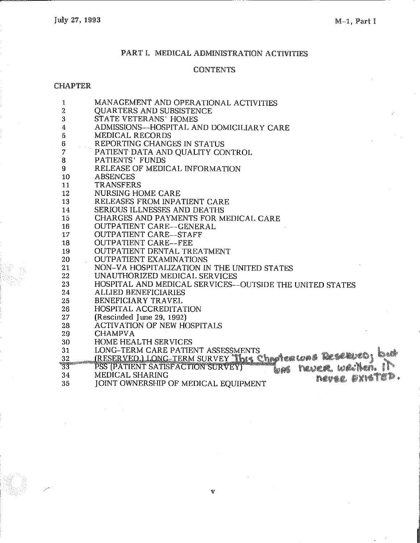## PART I. MEDICAL ADMINISTRATION ACTIVITIES

### **CONTENTS**

#### **CHAPTER**

| 1                | MANAGEMENT AND OPERATIONAL ACTIVITIES                    |
|------------------|----------------------------------------------------------|
| $\boldsymbol{2}$ | <b>QUARTERS AND SUBSISTENCE</b>                          |
| 3                | <b>STATE VETERANS' HOMES</b>                             |
| 4                | ADMISSIONS--HOSPITAL AND DOMICILIARY CARE                |
| 5                | <b>MEDICAL RECORDS</b>                                   |
| 6                | REPORTING CHANGES IN STATUS                              |
| $\overline{7}$   | PATIENT DATA AND QUALITY CONTROL                         |
| 8                | <b>PATIENTS' FUNDS</b>                                   |
| 9                | RELEASE OF MEDICAL INFORMATION                           |
| 10               | <b>ABSENCES</b>                                          |
| 11               | <b>TRANSFERS</b>                                         |
| 12               | <b>NURSING HOME CARE</b>                                 |
| 13               | RELEASES FROM INPATIENT CARE                             |
| 14               | <b>SERIOUS ILLNESSES AND DEATHS</b>                      |
| 15               | CHARGES AND PAYMENTS FOR MEDICAL CARE                    |
| 16               | <b>OUTPATIENT CARE--GENERAL</b>                          |
| 17               | <b>OUTPATIENT CARE--STAFF</b>                            |
| 18               | <b>OUTPATIENT CARE--FEE</b>                              |
| 19               | <b>OUTPATIENT DENTAL TREATMENT</b>                       |
| 20               | <b>OUTPATIENT EXAMINATIONS</b>                           |
| 21               | NON-VA HOSPITALIZATION IN THE UNITED STATES              |
| 22               | UNAUTHORIZED MEDICAL SERVICES                            |
| 23               | HOSPITAL AND MEDICAL SERVICES--OUTSIDE THE UNITED STATES |
| 24               | <b>ALLIED BENEFICIARIES</b>                              |
| 25               | <b>BENEFICIARY TRAVEL</b>                                |
| 26               | <b>HOSPITAL ACCREDITATION</b>                            |
| 27               | (Rescinded June 29, 1992)                                |
| 28               | <b>ACTIVATION OF NEW HOSPITALS</b>                       |
| 29               | <b>CHAMPVA</b>                                           |
| 30               | <b>HOME HEALTH SERVICES</b>                              |
| 31               | LONG-TERM CARE PATIENT ASSESSMENTS                       |
| 32               | RESERVED.) LONG-TERM SURVEY This Chapter was Reserved.   |
| 33               | h) A                                                     |
| 34               | <b>MEDICAL SHARING</b><br>a a<br>hevee <i>E</i> xis      |
| 35               | JOINT OWNERSHIP OF MEDICAL EQUIPMENT                     |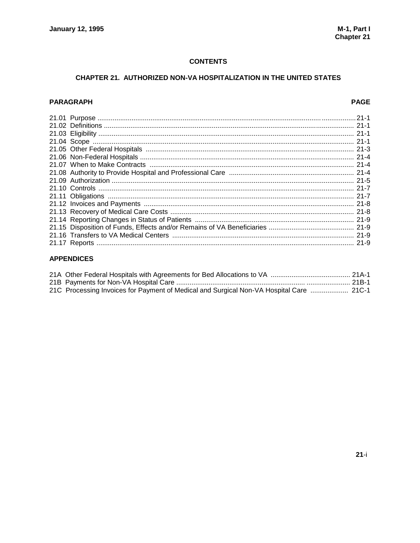#### **CONTENTS**

#### CHAPTER 21. AUTHORIZED NON-VA HOSPITALIZATION IN THE UNITED STATES

#### **PARAGRAPH**

#### **PAGE**

#### **APPENDICES**

| 21C Processing Invoices for Payment of Medical and Surgical Non-VA Hospital Care  21C-1 |  |
|-----------------------------------------------------------------------------------------|--|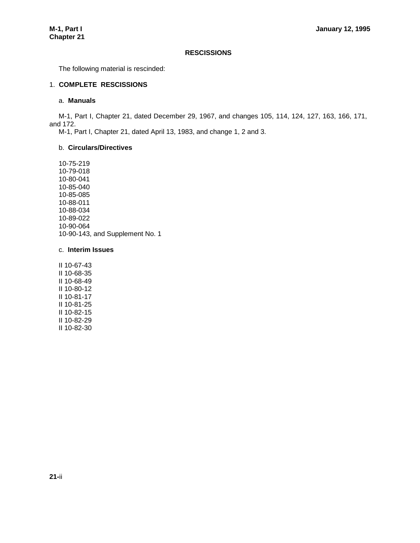#### **RESCISSIONS**

The following material is rescinded:

#### 1. **COMPLETE RESCISSIONS**

#### a. **Manuals**

M-1, Part I, Chapter 21, dated December 29, 1967, and changes 105, 114, 124, 127, 163, 166, 171, and 172.

M-1, Part I, Chapter 21, dated April 13, 1983, and change 1, 2 and 3.

#### b. **Circulars/Directives**

10-75-219 10-79-018 10-80-041 10-85-040 10-85-085 10-88-011 10-88-034 10-89-022 10-90-064 10-90-143, and Supplement No. 1

#### c. **Interim Issues**

II 10-67-43 II 10-68-35 II 10-68-49 II 10-80-12 II 10-81-17 II 10-81-25 II 10-82-15 II 10-82-29 II 10-82-30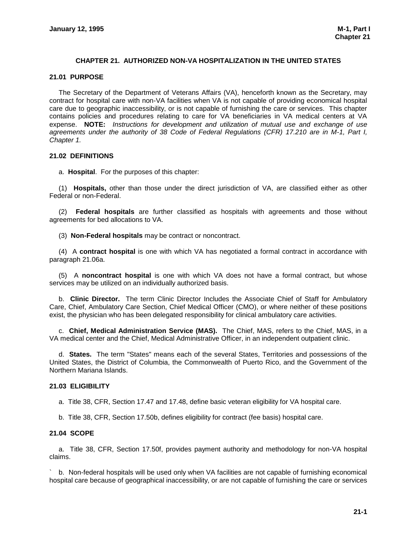#### **CHAPTER 21. AUTHORIZED NON-VA HOSPITALIZATION IN THE UNITED STATES**

#### **21.01 PURPOSE**

The Secretary of the Department of Veterans Affairs (VA), henceforth known as the Secretary, may contract for hospital care with non-VA facilities when VA is not capable of providing economical hospital care due to geographic inaccessibility, or is not capable of furnishing the care or services. This chapter contains policies and procedures relating to care for VA beneficiaries in VA medical centers at VA expense. **NOTE:** *Instructions for development and utilization of mutual use and exchange of use agreements under the authority of 38 Code of Federal Regulations (CFR) 17.210 are in M-1, Part I, Chapter 1.*

#### **21.02 DEFINITIONS**

a. **Hospital**. For the purposes of this chapter:

(1) **Hospitals,** other than those under the direct jurisdiction of VA, are classified either as other Federal or non-Federal.

(2) **Federal hospitals** are further classified as hospitals with agreements and those without agreements for bed allocations to VA.

(3) **Non-Federal hospitals** may be contract or noncontract.

(4) A **contract hospital** is one with which VA has negotiated a formal contract in accordance with paragraph 21.06a.

(5) A **noncontract hospital** is one with which VA does not have a formal contract, but whose services may be utilized on an individually authorized basis.

b. **Clinic Director.** The term Clinic Director Includes the Associate Chief of Staff for Ambulatory Care, Chief, Ambulatory Care Section, Chief Medical Officer (CMO), or where neither of these positions exist, the physician who has been delegated responsibility for clinical ambulatory care activities.

c. **Chief, Medical Administration Service (MAS).** The Chief, MAS, refers to the Chief, MAS, in a VA medical center and the Chief, Medical Administrative Officer, in an independent outpatient clinic.

d. **States.** The term "States" means each of the several States, Territories and possessions of the United States, the District of Columbia, the Commonwealth of Puerto Rico, and the Government of the Northern Mariana Islands.

#### **21.03 ELIGIBILITY**

a. Title 38, CFR, Section 17.47 and 17.48, define basic veteran eligibility for VA hospital care.

b. Title 38, CFR, Section 17.50b, defines eligibility for contract (fee basis) hospital care.

#### **21.04 SCOPE**

a. Title 38, CFR, Section 17.50f, provides payment authority and methodology for non-VA hospital claims.

` b. Non-federal hospitals will be used only when VA facilities are not capable of furnishing economical hospital care because of geographical inaccessibility, or are not capable of furnishing the care or services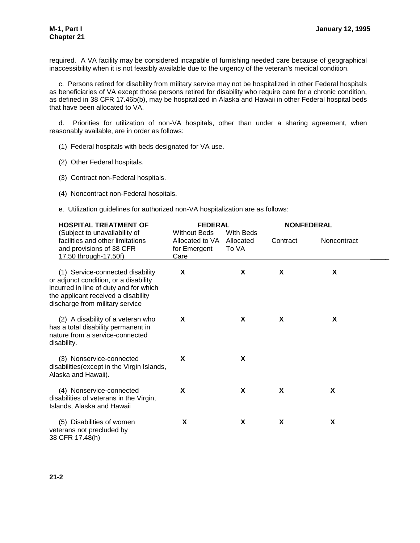required. A VA facility may be considered incapable of furnishing needed care because of geographical inaccessibility when it is not feasibly available due to the urgency of the veteran's medical condition.

c. Persons retired for disability from military service may not be hospitalized in other Federal hospitals as beneficiaries of VA except those persons retired for disability who require care for a chronic condition, as defined in 38 CFR 17.46b(b), may be hospitalized in Alaska and Hawaii in other Federal hospital beds that have been allocated to VA.

d. Priorities for utilization of non-VA hospitals, other than under a sharing agreement, when reasonably available, are in order as follows:

- (1) Federal hospitals with beds designated for VA use.
- (2) Other Federal hospitals.
- (3) Contract non-Federal hospitals.
- (4) Noncontract non-Federal hospitals.
- e. Utilization guidelines for authorized non-VA hospitalization are as follows:

| <b>HOSPITAL TREATMENT OF</b>                                                                                                                                                                  | <b>FEDERAL</b>                                                 |                                 | <b>NONFEDERAL</b> |             |  |
|-----------------------------------------------------------------------------------------------------------------------------------------------------------------------------------------------|----------------------------------------------------------------|---------------------------------|-------------------|-------------|--|
| (Subject to unavailability of<br>facilities and other limitations<br>and provisions of 38 CFR<br>17.50 through-17.50f)                                                                        | <b>Without Beds</b><br>Allocated to VA<br>for Emergent<br>Care | With Beds<br>Allocated<br>To VA | Contract          | Noncontract |  |
| (1) Service-connected disability<br>or adjunct condition, or a disability<br>incurred in line of duty and for which<br>the applicant received a disability<br>discharge from military service | X                                                              | X                               | X                 | X           |  |
| (2) A disability of a veteran who<br>has a total disability permanent in<br>nature from a service-connected<br>disability.                                                                    | X                                                              | X                               | X                 | X           |  |
| (3) Nonservice-connected<br>disabilities (except in the Virgin Islands,<br>Alaska and Hawaii).                                                                                                | X                                                              | X                               |                   |             |  |
| (4) Nonservice-connected<br>disabilities of veterans in the Virgin,<br>Islands, Alaska and Hawaii                                                                                             | X                                                              | X                               | X                 | X           |  |
| (5) Disabilities of women<br>veterans not precluded by<br>38 CFR 17.48(h)                                                                                                                     | X                                                              | X                               | X                 | X           |  |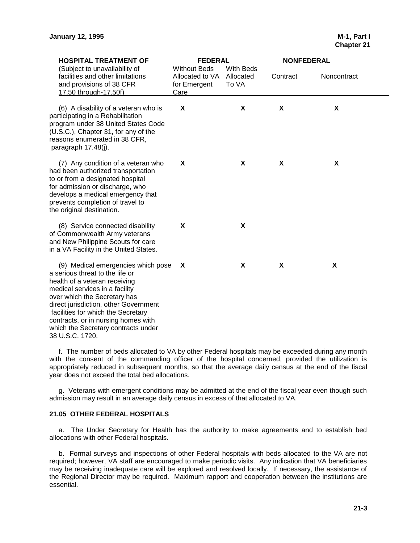| <b>HOSPITAL TREATMENT OF</b>                                                                                                                                                                                                                                                                                                                             | <b>FEDERAL</b>                                                 |                                 | <b>NONFEDERAL</b> |             |  |
|----------------------------------------------------------------------------------------------------------------------------------------------------------------------------------------------------------------------------------------------------------------------------------------------------------------------------------------------------------|----------------------------------------------------------------|---------------------------------|-------------------|-------------|--|
| (Subject to unavailability of<br>facilities and other limitations<br>and provisions of 38 CFR<br>17.50 through-17.50f)                                                                                                                                                                                                                                   | <b>Without Beds</b><br>Allocated to VA<br>for Emergent<br>Care | With Beds<br>Allocated<br>To VA | Contract          | Noncontract |  |
| (6) A disability of a veteran who is<br>participating in a Rehabilitation<br>program under 38 United States Code<br>(U.S.C.), Chapter 31, for any of the<br>reasons enumerated in 38 CFR,<br>paragraph 17.48(j).                                                                                                                                         | X                                                              | X                               | X                 | X           |  |
| (7) Any condition of a veteran who<br>had been authorized transportation<br>to or from a designated hospital<br>for admission or discharge, who<br>develops a medical emergency that<br>prevents completion of travel to<br>the original destination.                                                                                                    | X                                                              | X                               | X                 | X           |  |
| (8) Service connected disability<br>of Commonwealth Army veterans<br>and New Philippine Scouts for care<br>in a VA Facility in the United States.                                                                                                                                                                                                        | X                                                              | X                               |                   |             |  |
| (9) Medical emergencies which pose<br>a serious threat to the life or<br>health of a veteran receiving<br>medical services in a facility<br>over which the Secretary has<br>direct jurisdiction, other Government<br>facilities for which the Secretary<br>contracts, or in nursing homes with<br>which the Secretary contracts under<br>38 U.S.C. 1720. | X                                                              | X                               | X                 | X           |  |

f. The number of beds allocated to VA by other Federal hospitals may be exceeded during any month with the consent of the commanding officer of the hospital concerned, provided the utilization is appropriately reduced in subsequent months, so that the average daily census at the end of the fiscal year does not exceed the total bed allocations.

g. Veterans with emergent conditions may be admitted at the end of the fiscal year even though such admission may result in an average daily census in excess of that allocated to VA.

#### **21.05 OTHER FEDERAL HOSPITALS**

a. The Under Secretary for Health has the authority to make agreements and to establish bed allocations with other Federal hospitals.

b. Formal surveys and inspections of other Federal hospitals with beds allocated to the VA are not required; however, VA staff are encouraged to make periodic visits. Any indication that VA beneficiaries may be receiving inadequate care will be explored and resolved locally. If necessary, the assistance of the Regional Director may be required. Maximum rapport and cooperation between the institutions are essential.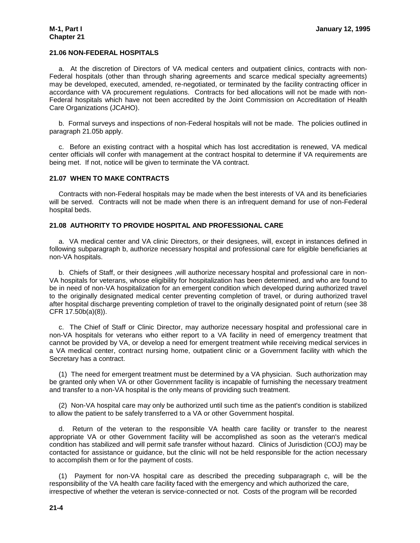#### **21.06 NON-FEDERAL HOSPITALS**

a. At the discretion of Directors of VA medical centers and outpatient clinics, contracts with non-Federal hospitals (other than through sharing agreements and scarce medical specialty agreements) may be developed, executed, amended, re-negotiated, or terminated by the facility contracting officer in accordance with VA procurement regulations. Contracts for bed allocations will not be made with non-Federal hospitals which have not been accredited by the Joint Commission on Accreditation of Health Care Organizations (JCAHO).

b. Formal surveys and inspections of non-Federal hospitals will not be made. The policies outlined in paragraph 21.05b apply.

c. Before an existing contract with a hospital which has lost accreditation is renewed, VA medical center officials will confer with management at the contract hospital to determine if VA requirements are being met. If not, notice will be given to terminate the VA contract.

#### **21.07 WHEN TO MAKE CONTRACTS**

Contracts with non-Federal hospitals may be made when the best interests of VA and its beneficiaries will be served. Contracts will not be made when there is an infrequent demand for use of non-Federal hospital beds.

#### **21.08 AUTHORITY TO PROVIDE HOSPITAL AND PROFESSIONAL CARE**

a. VA medical center and VA clinic Directors, or their designees, will, except in instances defined in following subparagraph b, authorize necessary hospital and professional care for eligible beneficiaries at non-VA hospitals.

b. Chiefs of Staff, or their designees ,will authorize necessary hospital and professional care in non-VA hospitals for veterans, whose eligibility for hospitalization has been determined, and who are found to be in need of non-VA hospitalization for an emergent condition which developed during authorized travel to the originally designated medical center preventing completion of travel, or during authorized travel after hospital discharge preventing completion of travel to the originally designated point of return (see 38 CFR 17.50b(a)(8)).

c. The Chief of Staff or Clinic Director, may authorize necessary hospital and professional care in non-VA hospitals for veterans who either report to a VA facility in need of emergency treatment that cannot be provided by VA, or develop a need for emergent treatment while receiving medical services in a VA medical center, contract nursing home, outpatient clinic or a Government facility with which the Secretary has a contract.

(1) The need for emergent treatment must be determined by a VA physician. Such authorization may be granted only when VA or other Government facility is incapable of furnishing the necessary treatment and transfer to a non-VA hospital is the only means of providing such treatment.

(2) Non-VA hospital care may only be authorized until such time as the patient's condition is stabilized to allow the patient to be safely transferred to a VA or other Government hospital.

d. Return of the veteran to the responsible VA health care facility or transfer to the nearest appropriate VA or other Government facility will be accomplished as soon as the veteran's medical condition has stabilized and will permit safe transfer without hazard. Clinics of Jurisdiction (COJ) may be contacted for assistance or guidance, but the clinic will not be held responsible for the action necessary to accomplish them or for the payment of costs.

(1) Payment for non-VA hospital care as described the preceding subparagraph c, will be the responsibility of the VA health care facility faced with the emergency and which authorized the care, irrespective of whether the veteran is service-connected or not. Costs of the program will be recorded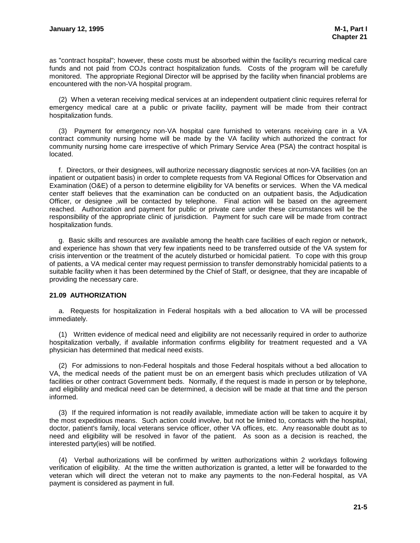as "contract hospital"; however, these costs must be absorbed within the facility's recurring medical care funds and not paid from COJs contract hospitalization funds. Costs of the program will be carefully monitored. The appropriate Regional Director will be apprised by the facility when financial problems are encountered with the non-VA hospital program.

(2) When a veteran receiving medical services at an independent outpatient clinic requires referral for emergency medical care at a public or private facility, payment will be made from their contract hospitalization funds.

(3) Payment for emergency non-VA hospital care furnished to veterans receiving care in a VA contract community nursing home will be made by the VA facility which authorized the contract for community nursing home care irrespective of which Primary Service Area (PSA) the contract hospital is located.

f. Directors, or their designees, will authorize necessary diagnostic services at non-VA facilities (on an inpatient or outpatient basis) in order to complete requests from VA Regional Offices for Observation and Examination (O&E) of a person to determine eligibility for VA benefits or services. When the VA medical center staff believes that the examination can be conducted on an outpatient basis, the Adjudication Officer, or designee ,will be contacted by telephone. Final action will be based on the agreement reached. Authorization and payment for public or private care under these circumstances will be the responsibility of the appropriate clinic of jurisdiction. Payment for such care will be made from contract hospitalization funds.

g. Basic skills and resources are available among the health care facilities of each region or network, and experience has shown that very few inpatients need to be transferred outside of the VA system for crisis intervention or the treatment of the acutely disturbed or homicidal patient. To cope with this group of patients, a VA medical center may request permission to transfer demonstrably homicidal patients to a suitable facility when it has been determined by the Chief of Staff, or designee, that they are incapable of providing the necessary care.

#### **21.09 AUTHORIZATION**

a. Requests for hospitalization in Federal hospitals with a bed allocation to VA will be processed immediately.

(1) Written evidence of medical need and eligibility are not necessarily required in order to authorize hospitalization verbally, if available information confirms eligibility for treatment requested and a VA physician has determined that medical need exists.

(2) For admissions to non-Federal hospitals and those Federal hospitals without a bed allocation to VA, the medical needs of the patient must be on an emergent basis which precludes utilization of VA facilities or other contract Government beds. Normally, if the request is made in person or by telephone, and eligibility and medical need can be determined, a decision will be made at that time and the person informed.

(3) If the required information is not readily available, immediate action will be taken to acquire it by the most expeditious means. Such action could involve, but not be limited to, contacts with the hospital, doctor, patient's family, local veterans service officer, other VA offices, etc. Any reasonable doubt as to need and eligibility will be resolved in favor of the patient. As soon as a decision is reached, the interested party(ies) will be notified.

(4) Verbal authorizations will be confirmed by written authorizations within 2 workdays following verification of eligibility. At the time the written authorization is granted, a letter will be forwarded to the veteran which will direct the veteran not to make any payments to the non-Federal hospital, as VA payment is considered as payment in full.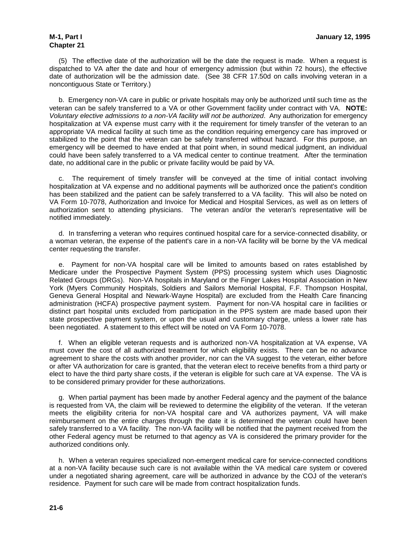## **Chapter 21**

(5) The effective date of the authorization will be the date the request is made. When a request is dispatched to VA after the date and hour of emergency admission (but within 72 hours), the effective date of authorization will be the admission date. (See 38 CFR 17.50d on calls involving veteran in a noncontiguous State or Territory.)

b. Emergency non-VA care in public or private hospitals may only be authorized until such time as the veteran can be safely transferred to a VA or other Government facility under contract with VA. **NOTE:** *Voluntary elective admissions to a non-VA facility will not be authorized*. Any authorization for emergency hospitalization at VA expense must carry with it the requirement for timely transfer of the veteran to an appropriate VA medical facility at such time as the condition requiring emergency care has improved or stabilized to the point that the veteran can be safely transferred without hazard. For this purpose, an emergency will be deemed to have ended at that point when, in sound medical judgment, an individual could have been safely transferred to a VA medical center to continue treatment. After the termination date, no additional care in the public or private facility would be paid by VA.

c. The requirement of timely transfer will be conveyed at the time of initial contact involving hospitalization at VA expense and no additional payments will be authorized once the patient's condition has been stabilized and the patient can be safely transferred to a VA facility. This will also be noted on VA Form 10-7078, Authorization and Invoice for Medical and Hospital Services, as well as on letters of authorization sent to attending physicians. The veteran and/or the veteran's representative will be notified immediately.

d. In transferring a veteran who requires continued hospital care for a service-connected disability, or a woman veteran, the expense of the patient's care in a non-VA facility will be borne by the VA medical center requesting the transfer.

e. Payment for non-VA hospital care will be limited to amounts based on rates established by Medicare under the Prospective Payment System (PPS) processing system which uses Diagnostic Related Groups (DRGs). Non-VA hospitals in Maryland or the Finger Lakes Hospital Association in New York (Myers Community Hospitals, Soldiers and Sailors Memorial Hospital, F.F. Thompson Hospital, Geneva General Hospital and Newark-Wayne Hospital) are excluded from the Health Care financing administration (HCFA) prospective payment system. Payment for non-VA hospital care in facilities or distinct part hospital units excluded from participation in the PPS system are made based upon their state prospective payment system, or upon the usual and customary charge, unless a lower rate has been negotiated. A statement to this effect will be noted on VA Form 10-7078.

f. When an eligible veteran requests and is authorized non-VA hospitalization at VA expense, VA must cover the cost of all authorized treatment for which eligibility exists. There can be no advance agreement to share the costs with another provider, nor can the VA suggest to the veteran, either before or after VA authorization for care is granted, that the veteran elect to receive benefits from a third party or elect to have the third party share costs, if the veteran is eligible for such care at VA expense. The VA is to be considered primary provider for these authorizations.

g. When partial payment has been made by another Federal agency and the payment of the balance is requested from VA, the claim will be reviewed to determine the eligibility of the veteran. If the veteran meets the eligibility criteria for non-VA hospital care and VA authorizes payment, VA will make reimbursement on the entire charges through the date it is determined the veteran could have been safely transferred to a VA facility. The non-VA facility will be notified that the payment received from the other Federal agency must be returned to that agency as VA is considered the primary provider for the authorized conditions only.

h. When a veteran requires specialized non-emergent medical care for service-connected conditions at a non-VA facility because such care is not available within the VA medical care system or covered under a negotiated sharing agreement, care will be authorized in advance by the COJ of the veteran's residence. Payment for such care will be made from contract hospitalization funds.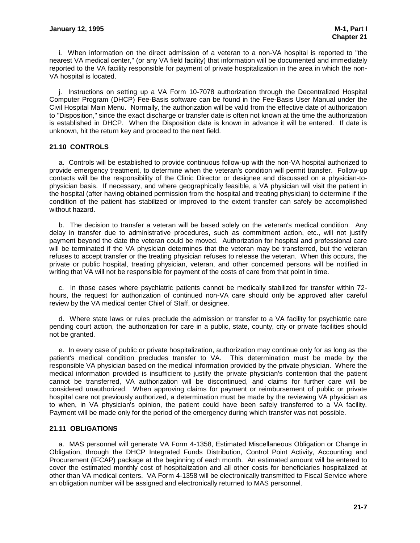i. When information on the direct admission of a veteran to a non-VA hospital is reported to "the nearest VA medical center," (or any VA field facility) that information will be documented and immediately reported to the VA facility responsible for payment of private hospitalization in the area in which the non-VA hospital is located.

j. Instructions on setting up a VA Form 10-7078 authorization through the Decentralized Hospital Computer Program (DHCP) Fee-Basis software can be found in the Fee-Basis User Manual under the Civil Hospital Main Menu. Normally, the authorization will be valid from the effective date of authorization to "Disposition," since the exact discharge or transfer date is often not known at the time the authorization is established in DHCP. When the Disposition date is known in advance it will be entered. If date is unknown, hit the return key and proceed to the next field.

#### **21.10 CONTROLS**

a. Controls will be established to provide continuous follow-up with the non-VA hospital authorized to provide emergency treatment, to determine when the veteran's condition will permit transfer. Follow-up contacts will be the responsibility of the Clinic Director or designee and discussed on a physician-tophysician basis. If necessary, and where geographically feasible, a VA physician will visit the patient in the hospital (after having obtained permission from the hospital and treating physician) to determine if the condition of the patient has stabilized or improved to the extent transfer can safely be accomplished without hazard.

b. The decision to transfer a veteran will be based solely on the veteran's medical condition. Any delay in transfer due to administrative procedures, such as commitment action, etc., will not justify payment beyond the date the veteran could be moved. Authorization for hospital and professional care will be terminated if the VA physician determines that the veteran may be transferred, but the veteran refuses to accept transfer or the treating physician refuses to release the veteran. When this occurs, the private or public hospital, treating physician, veteran, and other concerned persons will be notified in writing that VA will not be responsible for payment of the costs of care from that point in time.

c. In those cases where psychiatric patients cannot be medically stabilized for transfer within 72 hours, the request for authorization of continued non-VA care should only be approved after careful review by the VA medical center Chief of Staff, or designee.

d. Where state laws or rules preclude the admission or transfer to a VA facility for psychiatric care pending court action, the authorization for care in a public, state, county, city or private facilities should not be granted.

e. In every case of public or private hospitalization, authorization may continue only for as long as the patient's medical condition precludes transfer to VA. This determination must be made by the responsible VA physician based on the medical information provided by the private physician. Where the medical information provided is insufficient to justify the private physician's contention that the patient cannot be transferred, VA authorization will be discontinued, and claims for further care will be considered unauthorized. When approving claims for payment or reimbursement of public or private hospital care not previously authorized, a determination must be made by the reviewing VA physician as to when, in VA physician's opinion, the patient could have been safely transferred to a VA facility. Payment will be made only for the period of the emergency during which transfer was not possible.

#### **21.11 OBLIGATIONS**

a. MAS personnel will generate VA Form 4-1358, Estimated Miscellaneous Obligation or Change in Obligation, through the DHCP Integrated Funds Distribution, Control Point Activity, Accounting and Procurement (IFCAP) package at the beginning of each month. An estimated amount will be entered to cover the estimated monthly cost of hospitalization and all other costs for beneficiaries hospitalized at other than VA medical centers. VA Form 4-1358 will be electronically transmitted to Fiscal Service where an obligation number will be assigned and electronically returned to MAS personnel.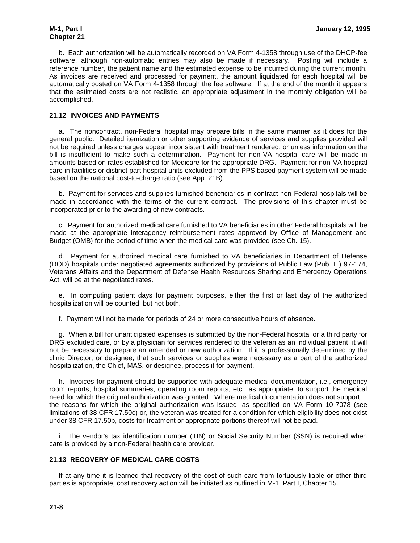b. Each authorization will be automatically recorded on VA Form 4-1358 through use of the DHCP-fee software, although non-automatic entries may also be made if necessary. Posting will include a reference number, the patient name and the estimated expense to be incurred during the current month. As invoices are received and processed for payment, the amount liquidated for each hospital will be automatically posted on VA Form 4-1358 through the fee software. If at the end of the month it appears that the estimated costs are not realistic, an appropriate adjustment in the monthly obligation will be accomplished.

#### **21.12 INVOICES AND PAYMENTS**

a. The noncontract, non-Federal hospital may prepare bills in the same manner as it does for the general public. Detailed itemization or other supporting evidence of services and supplies provided will not be required unless charges appear inconsistent with treatment rendered, or unless information on the bill is insufficient to make such a determination. Payment for non-VA hospital care will be made in amounts based on rates established for Medicare for the appropriate DRG. Payment for non-VA hospital care in facilities or distinct part hospital units excluded from the PPS based payment system will be made based on the national cost-to-charge ratio (see App. 21B).

b. Payment for services and supplies furnished beneficiaries in contract non-Federal hospitals will be made in accordance with the terms of the current contract. The provisions of this chapter must be incorporated prior to the awarding of new contracts.

c. Payment for authorized medical care furnished to VA beneficiaries in other Federal hospitals will be made at the appropriate interagency reimbursement rates approved by Office of Management and Budget (OMB) for the period of time when the medical care was provided (see Ch. 15).

d. Payment for authorized medical care furnished to VA beneficiaries in Department of Defense (DOD) hospitals under negotiated agreements authorized by provisions of Public Law (Pub. L.) 97-174, Veterans Affairs and the Department of Defense Health Resources Sharing and Emergency Operations Act, will be at the negotiated rates.

e. In computing patient days for payment purposes, either the first or last day of the authorized hospitalization will be counted, but not both.

f. Payment will not be made for periods of 24 or more consecutive hours of absence.

g. When a bill for unanticipated expenses is submitted by the non-Federal hospital or a third party for DRG excluded care, or by a physician for services rendered to the veteran as an individual patient, it will not be necessary to prepare an amended or new authorization. If it is professionally determined by the clinic Director, or designee, that such services or supplies were necessary as a part of the authorized hospitalization, the Chief, MAS, or designee, process it for payment.

h. Invoices for payment should be supported with adequate medical documentation, i.e., emergency room reports, hospital summaries, operating room reports, etc., as appropriate, to support the medical need for which the original authorization was granted. Where medical documentation does not support the reasons for which the original authorization was issued, as specified on VA Form 10-7078 (see limitations of 38 CFR 17.50c) or, the veteran was treated for a condition for which eligibility does not exist under 38 CFR 17.50b, costs for treatment or appropriate portions thereof will not be paid.

i. The vendor's tax identification number (TIN) or Social Security Number (SSN) is required when care is provided by a non-Federal health care provider.

#### **21.13 RECOVERY OF MEDICAL CARE COSTS**

If at any time it is learned that recovery of the cost of such care from tortuously liable or other third parties is appropriate, cost recovery action will be initiated as outlined in M-1, Part I, Chapter 15.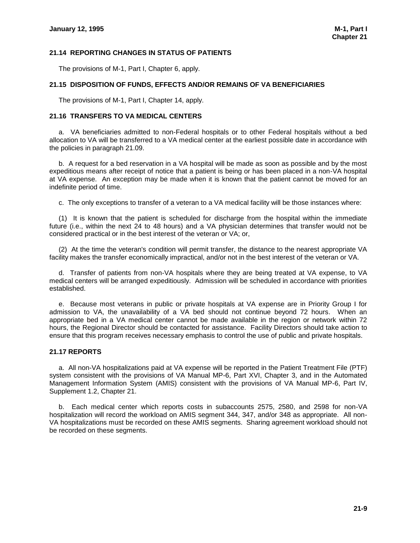#### **21.14 REPORTING CHANGES IN STATUS OF PATIENTS**

The provisions of M-1, Part I, Chapter 6, apply.

#### **21.15 DISPOSITION OF FUNDS, EFFECTS AND/OR REMAINS OF VA BENEFICIARIES**

The provisions of M-1, Part I, Chapter 14, apply.

#### **21.16 TRANSFERS TO VA MEDICAL CENTERS**

a. VA beneficiaries admitted to non-Federal hospitals or to other Federal hospitals without a bed allocation to VA will be transferred to a VA medical center at the earliest possible date in accordance with the policies in paragraph 21.09.

b. A request for a bed reservation in a VA hospital will be made as soon as possible and by the most expeditious means after receipt of notice that a patient is being or has been placed in a non-VA hospital at VA expense. An exception may be made when it is known that the patient cannot be moved for an indefinite period of time.

c. The only exceptions to transfer of a veteran to a VA medical facility will be those instances where:

(1) It is known that the patient is scheduled for discharge from the hospital within the immediate future (i.e., within the next 24 to 48 hours) and a VA physician determines that transfer would not be considered practical or in the best interest of the veteran or VA; or,

(2) At the time the veteran's condition will permit transfer, the distance to the nearest appropriate VA facility makes the transfer economically impractical, and/or not in the best interest of the veteran or VA.

d. Transfer of patients from non-VA hospitals where they are being treated at VA expense, to VA medical centers will be arranged expeditiously. Admission will be scheduled in accordance with priorities established.

e. Because most veterans in public or private hospitals at VA expense are in Priority Group I for admission to VA, the unavailability of a VA bed should not continue beyond 72 hours. When an appropriate bed in a VA medical center cannot be made available in the region or network within 72 hours, the Regional Director should be contacted for assistance. Facility Directors should take action to ensure that this program receives necessary emphasis to control the use of public and private hospitals.

#### **21.17 REPORTS**

a. All non-VA hospitalizations paid at VA expense will be reported in the Patient Treatment File (PTF) system consistent with the provisions of VA Manual MP-6, Part XVI, Chapter 3, and in the Automated Management Information System (AMIS) consistent with the provisions of VA Manual MP-6, Part IV, Supplement 1.2, Chapter 21.

b. Each medical center which reports costs in subaccounts 2575, 2580, and 2598 for non-VA hospitalization will record the workload on AMIS segment 344, 347, and/or 348 as appropriate. All non-VA hospitalizations must be recorded on these AMIS segments. Sharing agreement workload should not be recorded on these segments.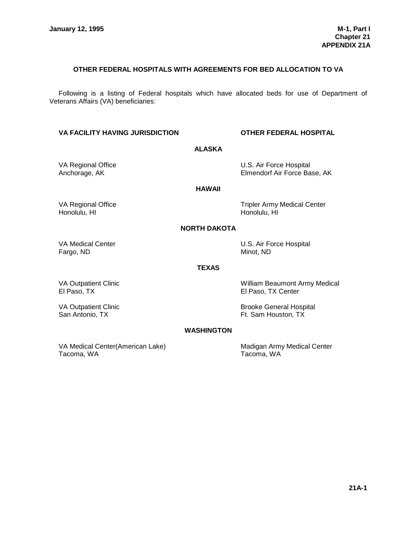#### **OTHER FEDERAL HOSPITALS WITH AGREEMENTS FOR BED ALLOCATION TO VA**

Following is a listing of Federal hospitals which have allocated beds for use of Department of Veterans Affairs (VA) beneficiaries:

#### **VA FACILITY HAVING JURISDICTION OTHER FEDERAL HOSPITAL**

#### **ALASKA**

#### VA Regional Office U.S. Air Force Hospital<br>Anchorage, AK **Elmendorf Air Force Ba** Elmendorf Air Force Base, AK

#### **HAWAII**

Honolulu, HI Honolulu, HI Honolulu, HI

VA Regional Office Tripler Army Medical Center

#### **NORTH DAKOTA**

Fargo, ND Minot, ND

VA Medical Center **VA Medical Center U.S. Air Force Hospital** 

#### **TEXAS**

El Paso, TX El Paso, TX Center

VA Outpatient Clinic **William Beaumont Army Medical** 

VA Outpatient Clinic Communication Clinic Brooke General Hospital San Antonio, TX **Ft. Sam Houston, TX** Ft. Sam Houston, TX

#### **WASHINGTON**

VA Medical Center(American Lake) Madigan Army Medical Center Tacoma, WA Tacoma, WA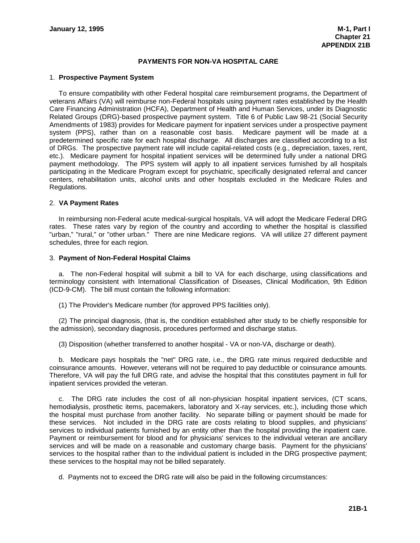#### **PAYMENTS FOR NON-VA HOSPITAL CARE**

#### 1. **Prospective Payment System**

To ensure compatibility with other Federal hospital care reimbursement programs, the Department of veterans Affairs (VA) will reimburse non-Federal hospitals using payment rates established by the Health Care Financing Administration (HCFA), Department of Health and Human Services, under its Diagnostic Related Groups (DRG)-based prospective payment system. Title 6 of Public Law 98-21 (Social Security Amendments of 1983) provides for Medicare payment for inpatient services under a prospective payment system (PPS), rather than on a reasonable cost basis. Medicare payment will be made at a predetermined specific rate for each hospital discharge. All discharges are classified according to a list of DRGs. The prospective payment rate will include capital-related costs (e.g., depreciation, taxes, rent, etc.). Medicare payment for hospital inpatient services will be determined fully under a national DRG payment methodology. The PPS system will apply to all inpatient services furnished by all hospitals participating in the Medicare Program except for psychiatric, specifically designated referral and cancer centers, rehabilitation units, alcohol units and other hospitals excluded in the Medicare Rules and Regulations.

#### 2. **VA Payment Rates**

In reimbursing non-Federal acute medical-surgical hospitals, VA will adopt the Medicare Federal DRG rates. These rates vary by region of the country and according to whether the hospital is classified "urban," "rural," or "other urban." There are nine Medicare regions. VA will utilize 27 different payment schedules, three for each region.

#### 3. **Payment of Non-Federal Hospital Claims**

a. The non-Federal hospital will submit a bill to VA for each discharge, using classifications and terminology consistent with International Classification of Diseases, Clinical Modification, 9th Edition (ICD-9-CM). The bill must contain the following information:

(1) The Provider's Medicare number (for approved PPS facilities only).

(2) The principal diagnosis, (that is, the condition established after study to be chiefly responsible for the admission), secondary diagnosis, procedures performed and discharge status.

(3) Disposition (whether transferred to another hospital - VA or non-VA, discharge or death).

b. Medicare pays hospitals the "net" DRG rate, i.e., the DRG rate minus required deductible and coinsurance amounts. However, veterans will not be required to pay deductible or coinsurance amounts. Therefore, VA will pay the full DRG rate, and advise the hospital that this constitutes payment in full for inpatient services provided the veteran.

c. The DRG rate includes the cost of all non-physician hospital inpatient services, (CT scans, hemodialysis, prosthetic items, pacemakers, laboratory and X-ray services, etc.), including those which the hospital must purchase from another facility. No separate billing or payment should be made for these services. Not included in the DRG rate are costs relating to blood supplies, and physicians' services to individual patients furnished by an entity other than the hospital providing the inpatient care. Payment or reimbursement for blood and for physicians' services to the individual veteran are ancillary services and will be made on a reasonable and customary charge basis. Payment for the physicians' services to the hospital rather than to the individual patient is included in the DRG prospective payment; these services to the hospital may not be billed separately.

d. Payments not to exceed the DRG rate will also be paid in the following circumstances: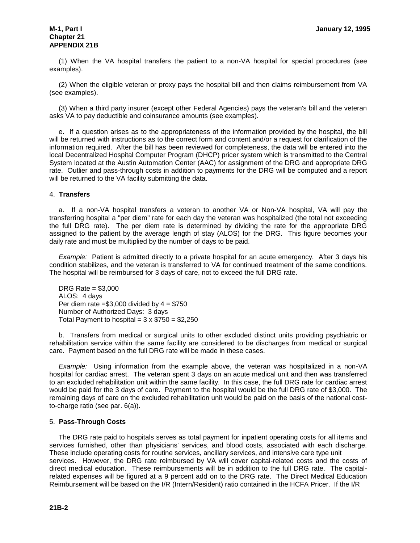## **Chapter 21 APPENDIX 21B**

(1) When the VA hospital transfers the patient to a non-VA hospital for special procedures (see examples).

(2) When the eligible veteran or proxy pays the hospital bill and then claims reimbursement from VA (see examples).

(3) When a third party insurer (except other Federal Agencies) pays the veteran's bill and the veteran asks VA to pay deductible and coinsurance amounts (see examples).

e. If a question arises as to the appropriateness of the information provided by the hospital, the bill will be returned with instructions as to the correct form and content and/or a request for clarification of the information required. After the bill has been reviewed for completeness, the data will be entered into the local Decentralized Hospital Computer Program (DHCP) pricer system which is transmitted to the Central System located at the Austin Automation Center (AAC) for assignment of the DRG and appropriate DRG rate. Outlier and pass-through costs in addition to payments for the DRG will be computed and a report will be returned to the VA facility submitting the data.

#### 4. **Transfers**

a. If a non-VA hospital transfers a veteran to another VA or Non-VA hospital, VA will pay the transferring hospital a "per diem" rate for each day the veteran was hospitalized (the total not exceeding the full DRG rate). The per diem rate is determined by dividing the rate for the appropriate DRG assigned to the patient by the average length of stay (ALOS) for the DRG. This figure becomes your daily rate and must be multiplied by the number of days to be paid.

*Example:* Patient is admitted directly to a private hospital for an acute emergency. After 3 days his condition stabilizes, and the veteran is transferred to VA for continued treatment of the same conditions. The hospital will be reimbursed for 3 days of care, not to exceed the full DRG rate.

DRG Rate = \$3,000 ALOS: 4 days Per diem rate  $= $3,000$  divided by  $4 = $750$ Number of Authorized Days: 3 days Total Payment to hospital =  $3 \times $750 = $2,250$ 

b. Transfers from medical or surgical units to other excluded distinct units providing psychiatric or rehabilitation service within the same facility are considered to be discharges from medical or surgical care. Payment based on the full DRG rate will be made in these cases.

*Example:* Using information from the example above, the veteran was hospitalized in a non-VA hospital for cardiac arrest. The veteran spent 3 days on an acute medical unit and then was transferred to an excluded rehabilitation unit within the same facility. In this case, the full DRG rate for cardiac arrest would be paid for the 3 days of care. Payment to the hospital would be the full DRG rate of \$3,000. The remaining days of care on the excluded rehabilitation unit would be paid on the basis of the national costto-charge ratio (see par. 6(a)).

#### 5. **Pass-Through Costs**

The DRG rate paid to hospitals serves as total payment for inpatient operating costs for all items and services furnished, other than physicians' services, and blood costs, associated with each discharge. These include operating costs for routine services, ancillary services, and intensive care type unit services. However, the DRG rate reimbursed by VA will cover capital-related costs and the costs of direct medical education. These reimbursements will be in addition to the full DRG rate. The capitalrelated expenses will be figured at a 9 percent add on to the DRG rate. The Direct Medical Education Reimbursement will be based on the I/R (Intern/Resident) ratio contained in the HCFA Pricer. If the I/R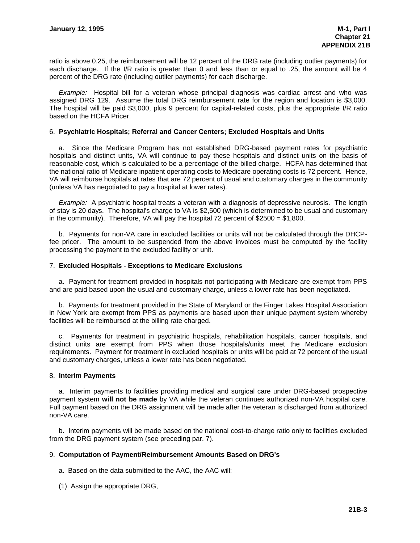ratio is above 0.25, the reimbursement will be 12 percent of the DRG rate (including outlier payments) for each discharge. If the I/R ratio is greater than 0 and less than or equal to .25, the amount will be 4 percent of the DRG rate (including outlier payments) for each discharge.

*Example:* Hospital bill for a veteran whose principal diagnosis was cardiac arrest and who was assigned DRG 129. Assume the total DRG reimbursement rate for the region and location is \$3,000. The hospital will be paid \$3,000, plus 9 percent for capital-related costs, plus the appropriate I/R ratio based on the HCFA Pricer.

#### 6. **Psychiatric Hospitals; Referral and Cancer Centers; Excluded Hospitals and Units**

a. Since the Medicare Program has not established DRG-based payment rates for psychiatric hospitals and distinct units, VA will continue to pay these hospitals and distinct units on the basis of reasonable cost, which is calculated to be a percentage of the billed charge. HCFA has determined that the national ratio of Medicare inpatient operating costs to Medicare operating costs is 72 percent. Hence, VA will reimburse hospitals at rates that are 72 percent of usual and customary charges in the community (unless VA has negotiated to pay a hospital at lower rates).

*Example:* A psychiatric hospital treats a veteran with a diagnosis of depressive neurosis. The length of stay is 20 days. The hospital's charge to VA is \$2,500 (which is determined to be usual and customary in the community). Therefore, VA will pay the hospital 72 percent of \$2500 = \$1,800.

b. Payments for non-VA care in excluded facilities or units will not be calculated through the DHCPfee pricer. The amount to be suspended from the above invoices must be computed by the facility processing the payment to the excluded facility or unit.

#### 7. **Excluded Hospitals - Exceptions to Medicare Exclusions**

a. Payment for treatment provided in hospitals not participating with Medicare are exempt from PPS and are paid based upon the usual and customary charge, unless a lower rate has been negotiated.

b. Payments for treatment provided in the State of Maryland or the Finger Lakes Hospital Association in New York are exempt from PPS as payments are based upon their unique payment system whereby facilities will be reimbursed at the billing rate charged.

c. Payments for treatment in psychiatric hospitals, rehabilitation hospitals, cancer hospitals, and distinct units are exempt from PPS when those hospitals/units meet the Medicare exclusion requirements. Payment for treatment in excluded hospitals or units will be paid at 72 percent of the usual and customary charges, unless a lower rate has been negotiated.

#### 8. **Interim Payments**

a. Interim payments to facilities providing medical and surgical care under DRG-based prospective payment system **will not be made** by VA while the veteran continues authorized non-VA hospital care. Full payment based on the DRG assignment will be made after the veteran is discharged from authorized non-VA care.

b. Interim payments will be made based on the national cost-to-charge ratio only to facilities excluded from the DRG payment system (see preceding par. 7).

#### 9. **Computation of Payment/Reimbursement Amounts Based on DRG's**

- a. Based on the data submitted to the AAC, the AAC will:
- (1) Assign the appropriate DRG,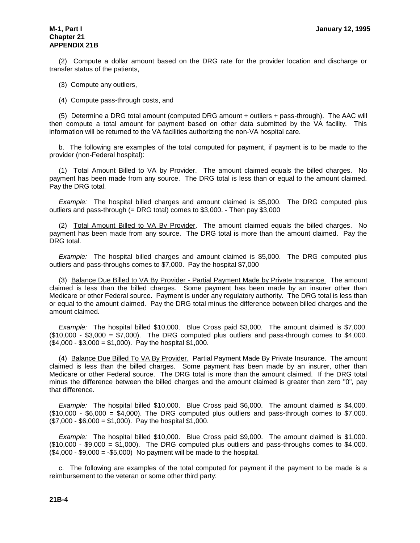## **Chapter 21 APPENDIX 21B**

(2) Compute a dollar amount based on the DRG rate for the provider location and discharge or transfer status of the patients,

- (3) Compute any outliers,
- (4) Compute pass-through costs, and

(5) Determine a DRG total amount (computed DRG amount + outliers + pass-through). The AAC will then compute a total amount for payment based on other data submitted by the VA facility. This information will be returned to the VA facilities authorizing the non-VA hospital care.

b. The following are examples of the total computed for payment, if payment is to be made to the provider (non-Federal hospital):

(1) Total Amount Billed to VA by Provider. The amount claimed equals the billed charges. No payment has been made from any source. The DRG total is less than or equal to the amount claimed. Pay the DRG total.

*Example:* The hospital billed charges and amount claimed is \$5,000. The DRG computed plus outliers and pass-through (= DRG total) comes to \$3,000. - Then pay \$3,000

(2) Total Amount Billed to VA By Provider. The amount claimed equals the billed charges. No payment has been made from any source. The DRG total is more than the amount claimed. Pay the DRG total.

*Example:* The hospital billed charges and amount claimed is \$5,000. The DRG computed plus outliers and pass-throughs comes to \$7,000. Pay the hospital \$7,000

(3) Balance Due Billed to VA By Provider - Partial Payment Made by Private Insurance. The amount claimed is less than the billed charges. Some payment has been made by an insurer other than Medicare or other Federal source. Payment is under any regulatory authority. The DRG total is less than or equal to the amount claimed. Pay the DRG total minus the difference between billed charges and the amount claimed.

*Example:* The hospital billed \$10,000. Blue Cross paid \$3,000. The amount claimed is \$7,000.  $($10,000 - $3,000 = $7,000)$ . The DRG computed plus outliers and pass-through comes to \$4,000.  $($4,000 - $3,000 = $1,000)$ . Pay the hospital \$1,000.

(4) Balance Due Billed To VA By Provider. Partial Payment Made By Private Insurance. The amount claimed is less than the billed charges. Some payment has been made by an insurer, other than Medicare or other Federal source. The DRG total is more than the amount claimed. If the DRG total minus the difference between the billed charges and the amount claimed is greater than zero "0", pay that difference.

*Example:* The hospital billed \$10,000. Blue Cross paid \$6,000. The amount claimed is \$4,000.  $($10,000 - $6,000 = $4,000)$ . The DRG computed plus outliers and pass-through comes to \$7,000.  $($7,000 - $6,000 = $1,000)$ . Pay the hospital \$1,000.

*Example:* The hospital billed \$10,000. Blue Cross paid \$9,000. The amount claimed is \$1,000.  $($10,000 - $9,000 = $1,000)$ . The DRG computed plus outliers and pass-throughs comes to \$4,000.  $($4,000 - $9,000 = -$5,000)$  No payment will be made to the hospital.

c. The following are examples of the total computed for payment if the payment to be made is a reimbursement to the veteran or some other third party: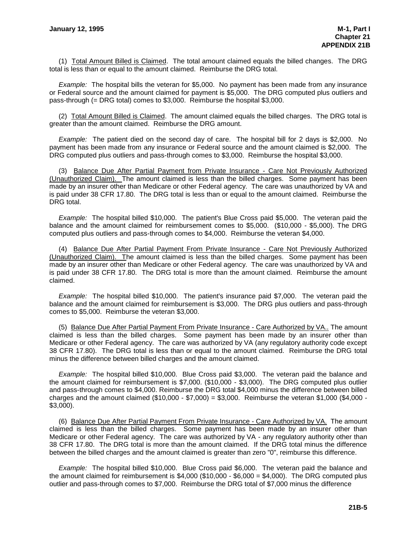(1) Total Amount Billed is Claimed. The total amount claimed equals the billed changes. The DRG total is less than or equal to the amount claimed. Reimburse the DRG total.

*Example:* The hospital bills the veteran for \$5,000. No payment has been made from any insurance or Federal source and the amount claimed for payment is \$5,000. The DRG computed plus outliers and pass-through (= DRG total) comes to \$3,000. Reimburse the hospital \$3,000.

(2) Total Amount Billed is Claimed. The amount claimed equals the billed charges. The DRG total is greater than the amount claimed. Reimburse the DRG amount.

*Example:* The patient died on the second day of care. The hospital bill for 2 days is \$2,000. No payment has been made from any insurance or Federal source and the amount claimed is \$2,000. The DRG computed plus outliers and pass-through comes to \$3,000. Reimburse the hospital \$3,000.

(3) Balance Due After Partial Payment from Private Insurance - Care Not Previously Authorized (Unauthorized Claim). The amount claimed is less than the billed charges. Some payment has been made by an insurer other than Medicare or other Federal agency. The care was unauthorized by VA and is paid under 38 CFR 17.80. The DRG total is less than or equal to the amount claimed. Reimburse the DRG total.

*Example:* The hospital billed \$10,000. The patient's Blue Cross paid \$5,000. The veteran paid the balance and the amount claimed for reimbursement comes to \$5,000. (\$10,000 - \$5,000). The DRG computed plus outliers and pass-through comes to \$4,000. Reimburse the veteran \$4,000.

(4) Balance Due After Partial Payment From Private Insurance - Care Not Previously Authorized (Unauthorized Claim). The amount claimed is less than the billed charges. Some payment has been made by an insurer other than Medicare or other Federal agency. The care was unauthorized by VA and is paid under 38 CFR 17.80. The DRG total is more than the amount claimed. Reimburse the amount claimed.

*Example:* The hospital billed \$10,000. The patient's insurance paid \$7,000. The veteran paid the balance and the amount claimed for reimbursement is \$3,000. The DRG plus outliers and pass-through comes to \$5,000. Reimburse the veteran \$3,000.

(5) Balance Due After Partial Payment From Private Insurance - Care Authorized by VA.. The amount claimed is less than the billed charges. Some payment has been made by an insurer other than Medicare or other Federal agency. The care was authorized by VA (any regulatory authority code except 38 CFR 17.80). The DRG total is less than or equal to the amount claimed. Reimburse the DRG total minus the difference between billed charges and the amount claimed.

*Example:* The hospital billed \$10,000. Blue Cross paid \$3,000. The veteran paid the balance and the amount claimed for reimbursement is \$7,000. (\$10,000 - \$3,000). The DRG computed plus outlier and pass-through comes to \$4,000. Reimburse the DRG total \$4,000 minus the difference between billed charges and the amount claimed  $(\$10,000 - \$7,000) = \$3,000$ . Reimburse the veteran  $\$1,000$  ( $\$4,000$  -\$3,000).

(6) Balance Due After Partial Payment From Private Insurance - Care Authorized by VA. The amount claimed is less than the billed charges. Some payment has been made by an insurer other than Medicare or other Federal agency. The care was authorized by VA - any regulatory authority other than 38 CFR 17.80. The DRG total is more than the amount claimed. If the DRG total minus the difference between the billed charges and the amount claimed is greater than zero "0", reimburse this difference.

*Example:* The hospital billed \$10,000. Blue Cross paid \$6,000. The veteran paid the balance and the amount claimed for reimbursement is  $$4,000$  ( $$10,000 - $6,000 = $4,000$ ). The DRG computed plus outlier and pass-through comes to \$7,000. Reimburse the DRG total of \$7,000 minus the difference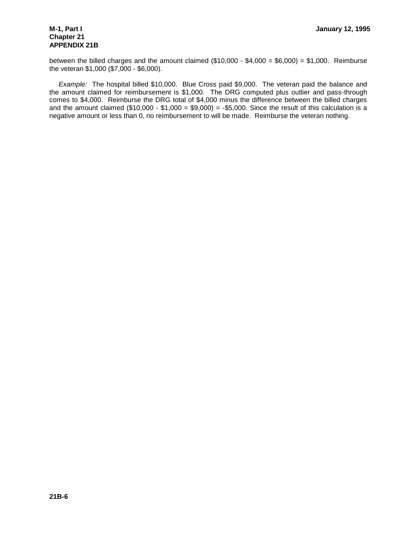## **Chapter 21 APPENDIX 21B**

between the billed charges and the amount claimed  $(\$10,000 - \$4,000 = \$6,000) = \$1,000$ . Reimburse the veteran \$1,000 (\$7,000 - \$6,000).

*Example:* The hospital billed \$10,000. Blue Cross paid \$9,000. The veteran paid the balance and the amount claimed for reimbursement is \$1,000. The DRG computed plus outlier and pass-through comes to \$4,000. Reimburse the DRG total of \$4,000 minus the difference between the billed charges and the amount claimed  $(\$10,000 - \$1,000 = \$9,000) = -\$5,000$ . Since the result of this calculation is a negative amount or less than 0, no reimbursement to will be made. Reimburse the veteran nothing.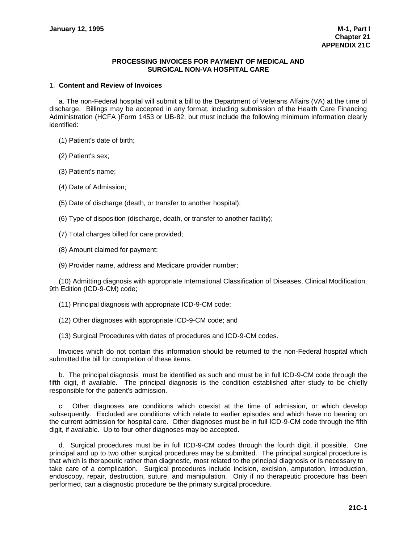#### **PROCESSING INVOICES FOR PAYMENT OF MEDICAL AND SURGICAL NON-VA HOSPITAL CARE**

#### 1. **Content and Review of Invoices**

a. The non-Federal hospital will submit a bill to the Department of Veterans Affairs (VA) at the time of discharge. Billings may be accepted in any format, including submission of the Health Care Financing Administration (HCFA )Form 1453 or UB-82, but must include the following minimum information clearly identified:

(1) Patient's date of birth;

(2) Patient's sex;

(3) Patient's name;

(4) Date of Admission;

(5) Date of discharge (death, or transfer to another hospital);

(6) Type of disposition (discharge, death, or transfer to another facility);

(7) Total charges billed for care provided;

(8) Amount claimed for payment;

(9) Provider name, address and Medicare provider number;

(10) Admitting diagnosis with appropriate International Classification of Diseases, Clinical Modification, 9th Edition (ICD-9-CM) code;

(11) Principal diagnosis with appropriate ICD-9-CM code;

(12) Other diagnoses with appropriate ICD-9-CM code; and

(13) Surgical Procedures with dates of procedures and ICD-9-CM codes.

Invoices which do not contain this information should be returned to the non-Federal hospital which submitted the bill for completion of these items.

b. The principal diagnosis must be identified as such and must be in full ICD-9-CM code through the fifth digit, if available. The principal diagnosis is the condition established after study to be chiefly responsible for the patient's admission.

c. Other diagnoses are conditions which coexist at the time of admission, or which develop subsequently. Excluded are conditions which relate to earlier episodes and which have no bearing on the current admission for hospital care. Other diagnoses must be in full ICD-9-CM code through the fifth digit, if available. Up to four other diagnoses may be accepted.

d. Surgical procedures must be in full ICD-9-CM codes through the fourth digit, if possible. One principal and up to two other surgical procedures may be submitted. The principal surgical procedure is that which is therapeutic rather than diagnostic, most related to the principal diagnosis or is necessary to take care of a complication. Surgical procedures include incision, excision, amputation, introduction, endoscopy, repair, destruction, suture, and manipulation. Only if no therapeutic procedure has been performed, can a diagnostic procedure be the primary surgical procedure.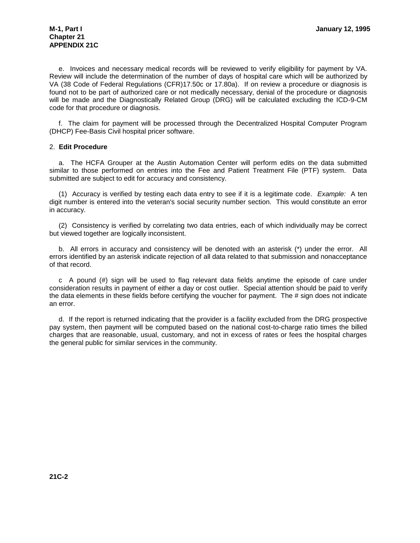e. Invoices and necessary medical records will be reviewed to verify eligibility for payment by VA. Review will include the determination of the number of days of hospital care which will be authorized by VA (38 Code of Federal Regulations (CFR)17.50c or 17.80a). If on review a procedure or diagnosis is found not to be part of authorized care or not medically necessary, denial of the procedure or diagnosis will be made and the Diagnostically Related Group (DRG) will be calculated excluding the ICD-9-CM code for that procedure or diagnosis.

f. The claim for payment will be processed through the Decentralized Hospital Computer Program (DHCP) Fee-Basis Civil hospital pricer software.

#### 2. **Edit Procedure**

a. The HCFA Grouper at the Austin Automation Center will perform edits on the data submitted similar to those performed on entries into the Fee and Patient Treatment File (PTF) system. Data submitted are subject to edit for accuracy and consistency.

(1) Accuracy is verified by testing each data entry to see if it is a legitimate code. *Example:* A ten digit number is entered into the veteran's social security number section. This would constitute an error in accuracy.

(2) Consistency is verified by correlating two data entries, each of which individually may be correct but viewed together are logically inconsistent.

b. All errors in accuracy and consistency will be denoted with an asterisk (\*) under the error. All errors identified by an asterisk indicate rejection of all data related to that submission and nonacceptance of that record.

c A pound (#) sign will be used to flag relevant data fields anytime the episode of care under consideration results in payment of either a day or cost outlier. Special attention should be paid to verify the data elements in these fields before certifying the voucher for payment. The # sign does not indicate an error.

d. If the report is returned indicating that the provider is a facility excluded from the DRG prospective pay system, then payment will be computed based on the national cost-to-charge ratio times the billed charges that are reasonable, usual, customary, and not in excess of rates or fees the hospital charges the general public for similar services in the community.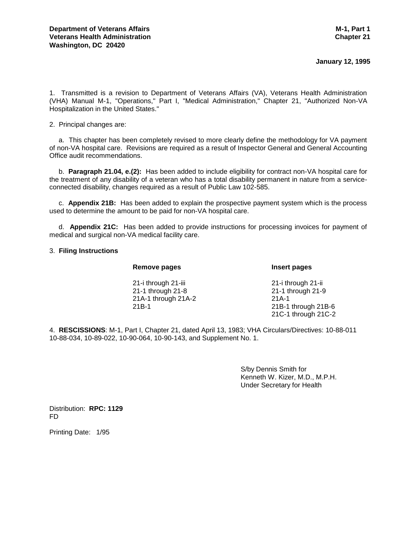#### **January 12, 1995**

1. Transmitted is a revision to Department of Veterans Affairs (VA), Veterans Health Administration (VHA) Manual M-1, "Operations," Part I, "Medical Administration," Chapter 21, "Authorized Non-VA Hospitalization in the United States."

2. Principal changes are:

a. This chapter has been completely revised to more clearly define the methodology for VA payment of non-VA hospital care. Revisions are required as a result of Inspector General and General Accounting Office audit recommendations.

b. **Paragraph 21.04, e.(2):** Has been added to include eligibility for contract non-VA hospital care for the treatment of any disability of a veteran who has a total disability permanent in nature from a serviceconnected disability, changes required as a result of Public Law 102-585.

c. **Appendix 21B:** Has been added to explain the prospective payment system which is the process used to determine the amount to be paid for non-VA hospital care.

d. **Appendix 21C:** Has been added to provide instructions for processing invoices for payment of medical and surgical non-VA medical facility care.

#### 3. **Filing Instructions**

#### **Remove pages Insert pages**

21-i through 21-iii 21-i through 21-ii 21-1 through 21-8 21-1 through 21-9 21A-1 through 21A-2 21A-1 21B-1 21B-1 through 21B-6 21C-1 through 21C-2

4. **RESCISSIONS**: M-1, Part I, Chapter 21, dated April 13, 1983; VHA Circulars/Directives: 10-88-011 10-88-034, 10-89-022, 10-90-064, 10-90-143, and Supplement No. 1.

> S/by Dennis Smith for Kenneth W. Kizer, M.D., M.P.H. Under Secretary for Health

Distribution: **RPC: 1129** FD

Printing Date: 1/95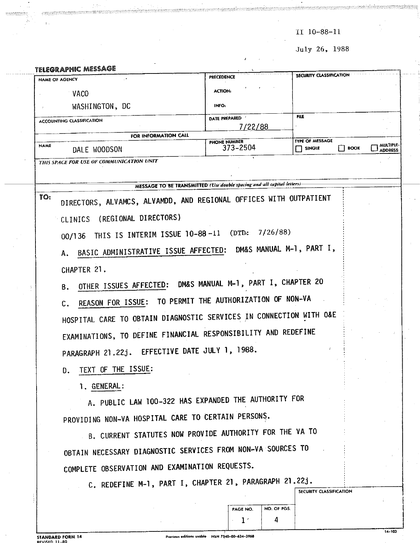$II$  10-88-11

July 26, 1988

|             | <b>TELEGRAPHIC MESSAGE</b>                                          | PRECEDENCE                                                             | SECURITY CLASSIFICATION                      |                             |
|-------------|---------------------------------------------------------------------|------------------------------------------------------------------------|----------------------------------------------|-----------------------------|
|             | NAME OF AGENCY                                                      | <b>ACTION:</b>                                                         |                                              |                             |
|             | <b>VACO</b>                                                         |                                                                        |                                              |                             |
|             | WASHINGTON, DC                                                      | <b>INFO:</b>                                                           |                                              |                             |
|             | <b>ACCOUNTING CLASSIFICATION</b>                                    | DATE PREPARED '<br>7/22/88                                             | FILE                                         |                             |
|             | FOR INFORMATION CALL                                                | PHONE NUMBER                                                           | TYPE OF MESSAGE                              |                             |
| <b>NAME</b> | DALE WOODSON                                                        | 373-2504                                                               | <b>BOOK</b><br>$\Box$ single<br>$\mathsf{L}$ | multiple.<br><b>ADDRESS</b> |
|             | THIS SPACE FOR USE OF COMMUNICATION UNIT                            |                                                                        |                                              |                             |
|             |                                                                     |                                                                        |                                              |                             |
|             |                                                                     | MESSAGE TO BE TRANSMITTED (Use double spacing and all-capital-letters) |                                              |                             |
| TO:         | DIRECTORS, ALVAMCS, ALVAMDD, AND REGIONAL OFFICES WITH OUTPATIENT   |                                                                        |                                              |                             |
|             | (REGIONAL DIRECTORS)<br>CLINICS                                     |                                                                        |                                              |                             |
|             | 00/136 THIS IS INTERIM ISSUE 10-88-11 (DTD:                         | 7/26/88)                                                               |                                              |                             |
|             |                                                                     |                                                                        |                                              |                             |
|             | BASIC ADMINISTRATIVE ISSUE AFFECTED: DM&S MANUAL M-1, PART I,<br>Α. |                                                                        |                                              |                             |
|             | CHAPTER 21.                                                         |                                                                        |                                              |                             |
|             | OTHER ISSUES AFFECTED: DM&S MANUAL M-1, PART I, CHAPTER 20<br>В.    |                                                                        |                                              |                             |
|             | REASON FOR ISSUE: TO PERMIT THE AUTHORIZATION OF NON-VA             |                                                                        |                                              |                             |
|             | С.                                                                  |                                                                        |                                              |                             |
|             | HOSPITAL CARE TO OBTAIN DIAGNOSTIC SERVICES IN CONNECTION WITH O&E  |                                                                        |                                              |                             |
|             | EXAMINATIONS, TO DEFINE FINANCIAL RESPONSIBILITY AND REDEFINE       |                                                                        |                                              |                             |
|             | PARAGRAPH 21.22j. EFFECTIVE DATE JULY 1, 1988.                      |                                                                        |                                              |                             |
|             | TEXT OF THE ISSUE:                                                  |                                                                        |                                              |                             |
|             | D.                                                                  |                                                                        |                                              |                             |
|             | 1. GENERAL:                                                         |                                                                        |                                              |                             |
|             | A. PUBLIC LAW 100-322 HAS EXPANDED THE AUTHORITY FOR                |                                                                        |                                              |                             |
|             | PROVIDING NON-VA HOSPITAL CARE TO CERTAIN PERSONS.                  |                                                                        |                                              |                             |
|             | B. CURRENT STATUTES NOW PROVIDE AUTHORITY FOR THE VA TO             |                                                                        |                                              |                             |
|             | OBTAIN NECESSARY DIAGNOSTIC SERVICES FROM NON-VA SOURCES TO         |                                                                        |                                              |                             |
|             |                                                                     |                                                                        |                                              |                             |
|             | COMPLETE OBSERVATION AND EXAMINATION REQUESTS.                      |                                                                        |                                              |                             |
|             | C. REDEFINE M-1, PART I, CHAPTER 21, PARAGRAPH 21.22j.              |                                                                        |                                              |                             |
|             |                                                                     |                                                                        | SECURITY CLASSIFICATION                      |                             |
|             |                                                                     | NO. OF PGS.<br>PAGE NO.                                                |                                              |                             |
|             |                                                                     | 1 <sup>1</sup><br>4                                                    |                                              |                             |

 $\frac{1}{2}$  , to ( stanii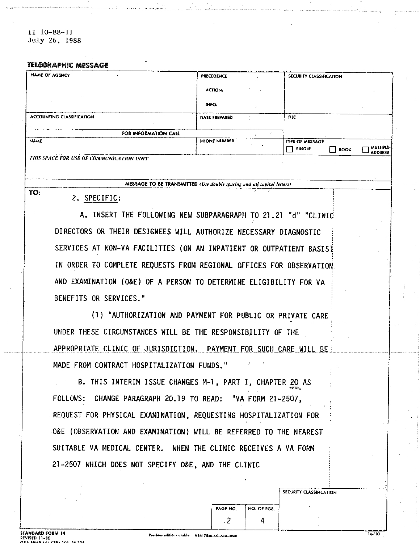$11 \t10-88-11$ July 26, 1988

#### **TELEGRAPHIC MESSAGE**

| <b>NAME OF AGENCY</b>                    | <b>PRECEDENCE</b>    | SECURITY CLASSIFICATION                                                            |
|------------------------------------------|----------------------|------------------------------------------------------------------------------------|
|                                          | <b>ACTION:</b>       |                                                                                    |
|                                          | INFO.                |                                                                                    |
| ACCOUNTING CLASSIFICATION                | <b>DATE PREPARED</b> | <b>FILE</b>                                                                        |
| FOR INFORMATION CALL                     | $\sim$               |                                                                                    |
| <b>NAME</b>                              | PHONE NUMBER         | TYPE OF MESSAGE<br><b>MULTIPLE-</b><br><b>SINGLE</b><br>    BOOK<br><b>ADDRESS</b> |
| THIS SPACE FOR USE OF COMMUNICATION UNIT |                      |                                                                                    |

MESSAGE TO BE TRANSMITTED (Use double spacing and all capital letters)

TO:

#### 2. SPECIFIC:

A. INSERT THE FOLLOWING NEW SUBPARAGRAPH TO 21.21 "d" "CLINIC DIRECTORS OR THEIR DESIGNEES WILL AUTHORIZE NECESSARY DIAGNOSTIC SERVICES AT NON-VA FACILITIES (ON AN INPATIENT OR OUTPATIENT BASIS) IN ORDER TO COMPLETE REQUESTS FROM REGIONAL OFFICES FOR OBSERVATION AND EXAMINATION (O&E) OF A PERSON TO DETERMINE ELIGIBILITY FOR VA BENEFITS OR SERVICES."

(1) "AUTHORIZATION AND PAYMENT FOR PUBLIC OR PRIVATE CARE UNDER THESE CIRCUMSTANCES WILL BE THE RESPONSIBILITY OF THE APPROPRIATE CLINIC OF JURISDICTION. PAYMENT FOR SUCH CARE WILL BE MADE FROM CONTRACT HOSPITALIZATION FUNDS."

B. THIS INTERIM ISSUE CHANGES M-1, PART I, CHAPTER 20 AS FOLLOWS: CHANGE PARAGRAPH 20.19 TO READ: "VA FORM 21-2507, REQUEST FOR PHYSICAL EXAMINATION, REQUESTING HOSPITALIZATION FOR O&E (OBSERVATION AND EXAMINATION) WILL BE REFERRED TO THE NEAREST SUITABLE VA MEDICAL CENTER. WHEN THE CLINIC RECEIVES A VA FORM 21-2507 WHICH DOES NOT SPECIFY O&E, AND THE CLINIC

 $14 - 103$ 

SECURITY CLASSIFICATION

NO. OF PGS.

4

PAGE NO.  $\overline{c}$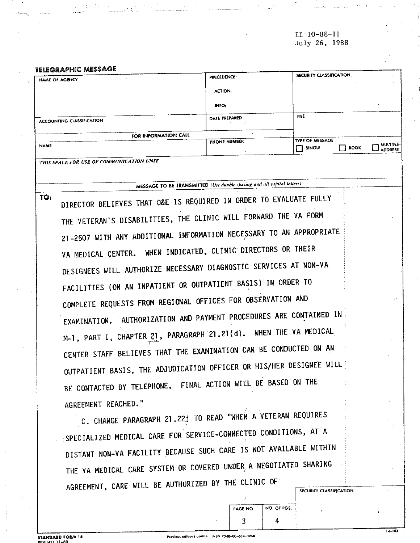II 10-88-11 July 26, 1988

#### **TELEGRAPHIC MESSAGE**

TO:

| NAME OF AGENCY                           | PRECEDENCE     | <b>SECURITY CLASSIFICATION.</b>                                                |
|------------------------------------------|----------------|--------------------------------------------------------------------------------|
|                                          | <b>ACTION:</b> |                                                                                |
|                                          | INFO:          |                                                                                |
| ACCOUNTING CLASSIFICATION                | DATE PREPARED  | <b>FILE</b>                                                                    |
| FOR INFORMATION CALL                     |                |                                                                                |
| <b>NAME</b>                              | PHONE NUMBER   | TYPE OF MESSAGE<br>MULIPLE-!<br><b>BOOK</b><br>SINGLE<br>- 1<br><b>ADDRESS</b> |
| THIS SPACE FOR USE OF COMMUNICATION UNIT |                |                                                                                |

MESSAGE TO BE TRANSMITTED (Use double spacing and all capital letters).

DIRECTOR BELIEVES THAT O&E IS REQUIRED IN ORDER TO EVALUATE FULLY THE VETERAN'S DISABILITIES, THE CLINIC WILL FORWARD THE VA FORM 21-2507 WITH ANY ADDITIONAL INFORMATION NECESSARY TO AN APPROPRIATE VA MEDICAL CENTER. WHEN INDICATED, CLINIC DIRECTORS OR THEIR DESIGNEES WILL AUTHORIZE NECESSARY DIAGNOSTIC SERVICES AT NON-VA FACILITIES (ON AN INPATIENT OR OUTPATIENT BASIS) IN ORDER TO COMPLETE REQUESTS FROM REGIONAL OFFICES FOR OBSERVATION AND EXAMINATION. AUTHORIZATION AND PAYMENT PROCEDURES ARE CONTAINED IN M-1, PART I, CHAPTER 21, PARAGRAPH 21.21(d). WHEN THE VA MEDICAL CENTER STAFF BELIEVES THAT THE EXAMINATION CAN BE CONDUCTED ON AN OUTPATIENT BASIS, THE ADJUDICATION OFFICER OR HIS/HER DESIGNEE WILL BE CONTACTED BY TELEPHONE. FINAL ACTION WILL BE BASED ON THE AGREEMENT REACHED."

C. CHANGE PARAGRAPH 21.22j TO READ "WHEN A VETERAN REQUIRES SPECIALIZED MEDICAL CARE FOR SERVICE-CONNECTED CONDITIONS, AT A DISTANT NON-VA FACILITY BECAUSE SUCH CARE IS NOT AVAILABLE WITHIN THE VA MEDICAL CARE SYSTEM OR COVERED UNDER A NEGOTIATED SHARING AGREEMENT, CARE WILL BE AUTHORIZED BY THE CLINIC OF SECURITY CLASSIFICATION

**STANDARD FORM 14** 

NO. OF PGS.

4

PAGE NO.

3

 $\frac{1}{14 - 103}$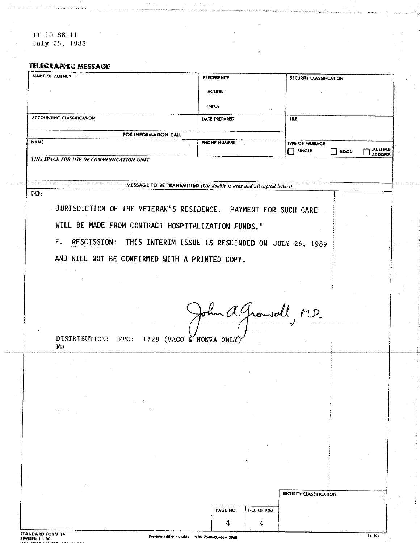II 10-88-11<br>July 26, 1988

#### **TELEGRAPHIC MESSAGE**

|             | NAME OF AGENCY                           |                                                                | <b>PRECEDENCE</b>                                                      |                  | SECURITY CLASSIFICATION |             |                             |
|-------------|------------------------------------------|----------------------------------------------------------------|------------------------------------------------------------------------|------------------|-------------------------|-------------|-----------------------------|
|             |                                          |                                                                | <b>ACTION:</b>                                                         |                  |                         |             |                             |
|             |                                          |                                                                | INFO.                                                                  |                  |                         |             |                             |
|             | ACCOUNTING CLASSIFICATION                |                                                                | DATE PREPARED                                                          |                  | <b>FILE</b>             |             |                             |
|             | $\alpha = \alpha$ .                      | FOR INFORMATION CALL                                           |                                                                        |                  |                         |             |                             |
| <b>NAME</b> |                                          |                                                                | PHONE NUMBER                                                           |                  | <b>TYPE OF MESSAGE</b>  |             |                             |
|             | THIS SPACE FOR USE OF COMMUNICATION UNIT |                                                                |                                                                        |                  | $\Box$ single           | <b>BOOK</b> | MULTIPLE.<br><b>ADDRESS</b> |
|             |                                          |                                                                |                                                                        |                  |                         |             |                             |
|             |                                          |                                                                | MESSAGE TO BE TRANSMITTED (Use double spacing and all capital letters) |                  |                         |             |                             |
| TO:         |                                          |                                                                |                                                                        |                  |                         |             |                             |
|             |                                          | JURISDICTION OF THE VETERAN'S RESIDENCE. PAYMENT FOR SUCH CARE |                                                                        |                  |                         |             |                             |
|             |                                          |                                                                |                                                                        |                  |                         |             |                             |
|             |                                          | WILL BE MADE FROM CONTRACT HOSPITALIZATION FUNDS."             |                                                                        |                  |                         |             |                             |
|             | E.                                       | RESCISSION: THIS INTERIM ISSUE IS RESCINDED ON JULY 26, 1989   |                                                                        |                  |                         |             |                             |
|             |                                          | AND WILL NOT BE CONFIRMED WITH A PRINTED COPY.                 |                                                                        |                  |                         |             |                             |
|             |                                          |                                                                |                                                                        |                  |                         |             |                             |
|             |                                          |                                                                |                                                                        |                  |                         |             |                             |
|             |                                          |                                                                |                                                                        |                  |                         |             |                             |
|             |                                          |                                                                |                                                                        |                  | John a Growoll, M.D.    |             |                             |
|             |                                          |                                                                |                                                                        |                  |                         |             |                             |
|             | FD                                       | DISTRIBUTION: RPC: 1129 (VACO & NONVA ONLY)                    |                                                                        |                  |                         |             |                             |
|             |                                          |                                                                |                                                                        |                  |                         |             |                             |
|             |                                          |                                                                |                                                                        |                  |                         |             |                             |
|             |                                          |                                                                |                                                                        |                  |                         |             |                             |
|             |                                          |                                                                |                                                                        |                  |                         |             |                             |
|             | ta sera                                  |                                                                |                                                                        |                  |                         |             |                             |
|             |                                          |                                                                |                                                                        |                  |                         |             |                             |
|             |                                          |                                                                |                                                                        |                  |                         |             |                             |
|             |                                          |                                                                |                                                                        |                  |                         |             |                             |
|             |                                          |                                                                |                                                                        |                  |                         |             |                             |
|             |                                          |                                                                |                                                                        |                  |                         |             |                             |
|             |                                          |                                                                |                                                                        |                  | SECURITY CLASSIFICATION |             |                             |
|             |                                          |                                                                | PAGE NO.                                                               |                  |                         |             |                             |
|             |                                          |                                                                |                                                                        |                  |                         |             |                             |
|             |                                          |                                                                | 4                                                                      | NO. OF PGS.<br>4 |                         |             |                             |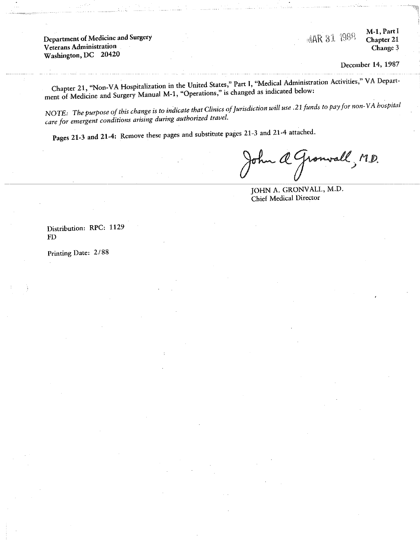Department of Medicine and Surgery **Veterans Administration** Washington, DC 20420

M-1, Part I **MAR 31 1988** Chapter 21 Change 3

December 14, 1987

Chapter 21, "Non-VA Hospitalization in the United States," Part I, "Medical Administration Activities," VA Department of Medicine and Surgery Manual M-1, "Operations," is changed as indicated below:

NOTE: The purpose of this change is to indicate that Clinics of Jurisdiction will use .21 funds to pay for non-VA hospital care for emergent conditions arising during authorized travel.

Pages 21-3 and 21-4: Remove these pages and substitute pages 21-3 and 21-4 attached.

a Gronvall, M.D.

JOHN A. GRONVALL, M.D. Chief Medical Director

Distribution: RPC: 1129  ${\rm FD}$ 

Printing Date: 2/88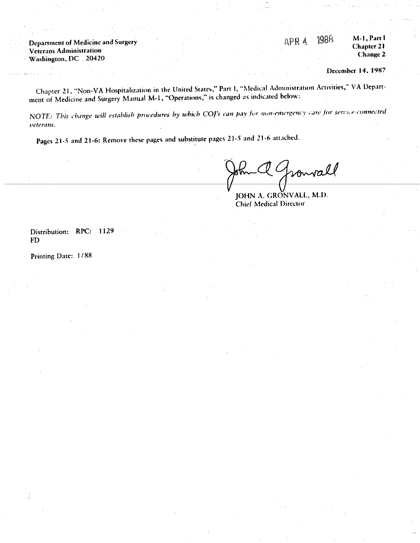Department of Medicine and Surgery Veterans Administration Washington, DC 20420

1988 M-1, Part I APR 4 Chapter 21 Change 2

December 14, 1987

Chapter 21, "Non-VA Hospitalization in the United States," Part I, "Medical Administration Activities," VA Department of Medicine and Surgery Manual M-1, "Operations," is changed as indicated below:

NOTE: This change will establish procedures by which COJ's can pay for non-emergency care for service-connected veterans.

Pages 21-5 and 21-6: Remove these pages and substitute pages 21-5 and 21-6 attached.

vall

).<br>Fail

JOHN A. GRONVALL, M.D. **Chief Medical Director** 

Distribution: RPC: 1129 **FD** 

Printing Date: 1/88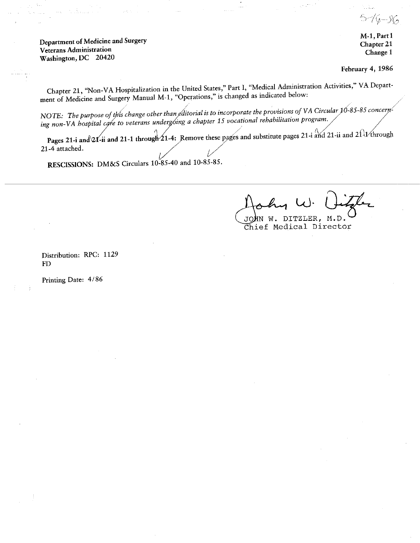7G – SG

Department of Medicine and Surgery **Veterans Administration** Washington, DC 20420

tri Associa

M-1, Part I Chapter 21 Change 1

February 4, 1986

Chapter 21, "Non-VA Hospitalization in the United States," Part I, "Medical Administration Activities," VA Department of Medicine and Surgery Manual M-1, "Operations," is changed as indicated below:

NOTE: The purpose of this change other than editorial is to incorporate the provisions of VA Circular 10-85-85 concerning non-VA hospital care to veterans undergoing a chapter 15 vocational rehabilitation program.

Pages 21-i and 21-ii and 21-1 through  $21-4$ : Remove these pages and substitute pages 21-i and 21-ii and 21 1 through 21-4 attached.

RESCISSIONS: DM&S Circulars 10-85-40 and 10-85-85.

JOHN W. DITZLER, M.D. Chief Medical Director

Distribution: RPC: 1129  $FD$ 

Printing Date: 4/86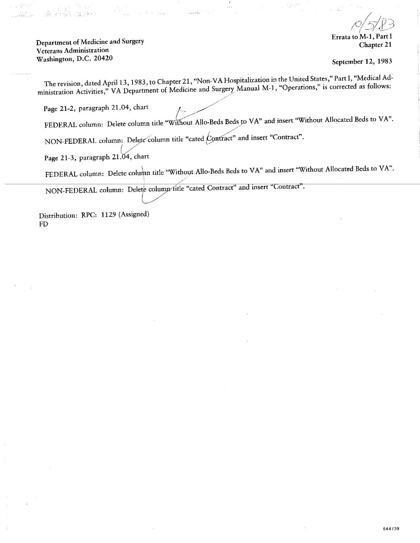Department of Medicine and Surgery **Veterans Administration** Washington, D.C. 20420

.<br>मुझे - ज

**Errata to M-1** Chapter 21

September 12, 1983

644739

The revision, dated April 13, 1983, to Chapter 21, "Non-VA Hospitalization in the United States," Part I, "Medical Administration Activities," VA Department of Medicine and Surgery Manual M-1, "Operations," is corrected as follows:

الموليت

Page 21-2, paragraph 21.04, chart

FEDERAL column: Delete column title "Without Allo-Beds Beds to VA" and insert "Without Allocated Beds to VA".

NON-FEDERAL column: Delete column title "cated Contract" and insert "Contract".

Page 21-3, paragraph 21.04, chart

FEDERAL column: Delete column title "Without Allo-Beds Beds to VA" and insert "Without Allocated Beds to VA".

NON-FEDERAL column: Delete column fitle "cated Contract" and insert "Contract".

Distribution: RPC: 1129 (Assigned) FD